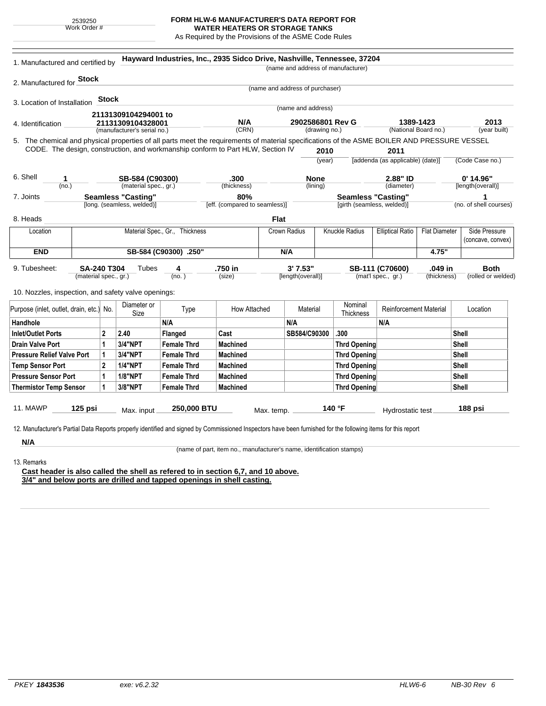2539250 Work Order #

## **FORM HLW-6 MANUFACTURER'S DATA REPORT FOR**

**WATER HEATERS OR STORAGE TANKS** As Required by the Provisions of the ASME Code Rules

|                                                                                                                                                                                                                                 | 1. Manufactured and certified by          |                                  | Hayward Industries, Inc., 2935 Sidco Drive, Nashville, Tennessee, 37204 |                                                                      |                                 |                    | (name and address of manufacturer)         |                                  |                                    |                                    |
|---------------------------------------------------------------------------------------------------------------------------------------------------------------------------------------------------------------------------------|-------------------------------------------|----------------------------------|-------------------------------------------------------------------------|----------------------------------------------------------------------|---------------------------------|--------------------|--------------------------------------------|----------------------------------|------------------------------------|------------------------------------|
| 2. Manufactured for <b>Stock</b>                                                                                                                                                                                                |                                           |                                  |                                                                         |                                                                      |                                 |                    |                                            |                                  |                                    |                                    |
|                                                                                                                                                                                                                                 |                                           |                                  |                                                                         |                                                                      | (name and address of purchaser) |                    |                                            |                                  |                                    |                                    |
| 3. Location of Installation                                                                                                                                                                                                     | <b>Stock</b>                              |                                  |                                                                         |                                                                      |                                 |                    |                                            |                                  |                                    |                                    |
|                                                                                                                                                                                                                                 |                                           |                                  |                                                                         |                                                                      |                                 | (name and address) |                                            |                                  |                                    |                                    |
| 4. Identification                                                                                                                                                                                                               | 21131309104294001 to<br>21131309104328001 |                                  |                                                                         | N/A                                                                  |                                 | 2902586801 Rev G   |                                            | 1389-1423                        |                                    | 2013                               |
|                                                                                                                                                                                                                                 | (manufacturer's serial no.)               |                                  |                                                                         | (CRN)                                                                | (drawing no.)                   |                    |                                            | (National Board no.)             |                                    | (year built)                       |
| 5. The chemical and physical properties of all parts meet the requirements of material specifications of the ASME BOILER AND PRESSURE VESSEL<br>CODE. The design, construction, and workmanship conform to Part HLW, Section IV |                                           |                                  |                                                                         |                                                                      |                                 | 2010               |                                            | 2011                             |                                    |                                    |
|                                                                                                                                                                                                                                 |                                           |                                  |                                                                         |                                                                      |                                 | (year)             |                                            | [addenda (as applicable) (date)] |                                    | (Code Case no.)                    |
| 6. Shell<br>1                                                                                                                                                                                                                   | SB-584 (C90300)                           |                                  |                                                                         | .300                                                                 |                                 | <b>None</b>        |                                            | 2.88" ID                         |                                    | $0'$ 14.96"                        |
| (no.)                                                                                                                                                                                                                           |                                           | (material spec., gr.)            |                                                                         | (thickness)                                                          |                                 | (lining)           |                                            | (diameter)                       |                                    | [length(overall)]                  |
| 7. Joints                                                                                                                                                                                                                       |                                           | <b>Seamless "Casting"</b>        |                                                                         | 80%                                                                  |                                 |                    | <b>Seamless "Casting"</b>                  |                                  |                                    | 1                                  |
|                                                                                                                                                                                                                                 |                                           | [long. (seamless, welded)]       |                                                                         | [eff. (compared to seamless)]                                        |                                 |                    | [girth (seamless, welded)]                 |                                  |                                    | (no. of shell courses)             |
| 8. Heads                                                                                                                                                                                                                        |                                           |                                  |                                                                         |                                                                      | <b>Flat</b>                     |                    |                                            |                                  |                                    |                                    |
| Location                                                                                                                                                                                                                        | Material Spec., Gr., Thickness            |                                  |                                                                         | Crown Radius                                                         | Knuckle Radius                  |                    | <b>Elliptical Ratio</b>                    | <b>Flat Diameter</b>             | Side Pressure<br>(concave, convex) |                                    |
| <b>END</b>                                                                                                                                                                                                                      | SB-584 (C90300) .250"                     |                                  |                                                                         | N/A                                                                  |                                 |                    |                                            | 4.75"                            |                                    |                                    |
|                                                                                                                                                                                                                                 |                                           |                                  |                                                                         |                                                                      |                                 |                    |                                            |                                  |                                    |                                    |
|                                                                                                                                                                                                                                 |                                           |                                  |                                                                         |                                                                      |                                 |                    |                                            |                                  |                                    |                                    |
| 9. Tubesheet:<br><b>SA-240 T304</b>                                                                                                                                                                                             |                                           | Tubes                            | 4                                                                       | .750 in                                                              |                                 | 3'7.53"            |                                            | SB-111 (C70600)                  | .049 in                            | <b>Both</b>                        |
| (material spec., gr.)                                                                                                                                                                                                           |                                           |                                  | (no.)                                                                   | (size)                                                               |                                 | [length(overall)]  |                                            | (mat'l spec., gr.)               | (thickness)                        |                                    |
|                                                                                                                                                                                                                                 |                                           |                                  |                                                                         |                                                                      |                                 |                    |                                            |                                  |                                    |                                    |
| 10. Nozzles, inspection, and safety valve openings:                                                                                                                                                                             |                                           | Diameter or                      | Type                                                                    | How Attached                                                         |                                 | Material           | Nominal                                    | <b>Reinforcement Material</b>    |                                    | Location                           |
|                                                                                                                                                                                                                                 |                                           | Size                             | N/A                                                                     |                                                                      | N/A                             |                    | Thickness                                  | N/A                              |                                    |                                    |
|                                                                                                                                                                                                                                 |                                           |                                  |                                                                         |                                                                      |                                 |                    |                                            |                                  |                                    |                                    |
|                                                                                                                                                                                                                                 | 2<br>1                                    | 2.40<br>3/4"NPT                  | Flanged<br><b>Female Thrd</b>                                           | Cast<br><b>Machined</b>                                              |                                 | SB584/C90300       | .300                                       |                                  |                                    | Shell<br>Shell                     |
|                                                                                                                                                                                                                                 | 1                                         | 3/4"NPT                          | <b>Female Thrd</b>                                                      | <b>Machined</b>                                                      |                                 |                    | <b>Thrd Opening</b><br><b>Thrd Opening</b> |                                  |                                    | Shell                              |
|                                                                                                                                                                                                                                 | $\overline{2}$                            |                                  |                                                                         |                                                                      |                                 |                    |                                            |                                  |                                    |                                    |
|                                                                                                                                                                                                                                 | $\mathbf{1}$                              | <b>1/4"NPT</b><br><b>1/8"NPT</b> | <b>Female Thrd</b><br><b>Female Thrd</b>                                | <b>Machined</b><br><b>Machined</b>                                   |                                 |                    | <b>Thrd Opening</b>                        |                                  |                                    | Shell<br>Shell                     |
| Purpose (inlet, outlet, drain, etc.) No.<br>Handhole<br><b>Inlet/Outlet Ports</b><br><b>Drain Valve Port</b><br><b>Pressure Relief Valve Port</b><br><b>Temp Sensor Port</b><br><b>Pressure Sensor Port</b>                     | $\mathbf{1}$                              | 3/8"NPT                          | <b>Female Thrd</b>                                                      | <b>Machined</b>                                                      |                                 |                    | <b>Thrd Opening</b>                        |                                  |                                    | (rolled or welded)<br><b>Shell</b> |
| <b>Thermistor Temp Sensor</b>                                                                                                                                                                                                   |                                           |                                  |                                                                         |                                                                      |                                 |                    | <b>Thrd Opening</b>                        |                                  |                                    |                                    |
| <b>11. MAWP</b><br>125 psi                                                                                                                                                                                                      |                                           | Max. input                       | 250,000 BTU                                                             |                                                                      | Max. temp.                      |                    | 140 °F                                     | Hydrostatic test                 |                                    | 188 psi                            |
|                                                                                                                                                                                                                                 |                                           |                                  |                                                                         |                                                                      |                                 |                    |                                            |                                  |                                    |                                    |
|                                                                                                                                                                                                                                 |                                           |                                  |                                                                         |                                                                      |                                 |                    |                                            |                                  |                                    |                                    |
| 12. Manufacturer's Partial Data Reports properly identified and signed by Commissioned Inspectors have been furnished for the following items for this report<br>N/A                                                            |                                           |                                  |                                                                         |                                                                      |                                 |                    |                                            |                                  |                                    |                                    |
| 13. Remarks                                                                                                                                                                                                                     |                                           |                                  |                                                                         | (name of part, item no., manufacturer's name, identification stamps) |                                 |                    |                                            |                                  |                                    |                                    |

**3/4" and below ports are drilled and tapped openings in shell casting.**

÷.